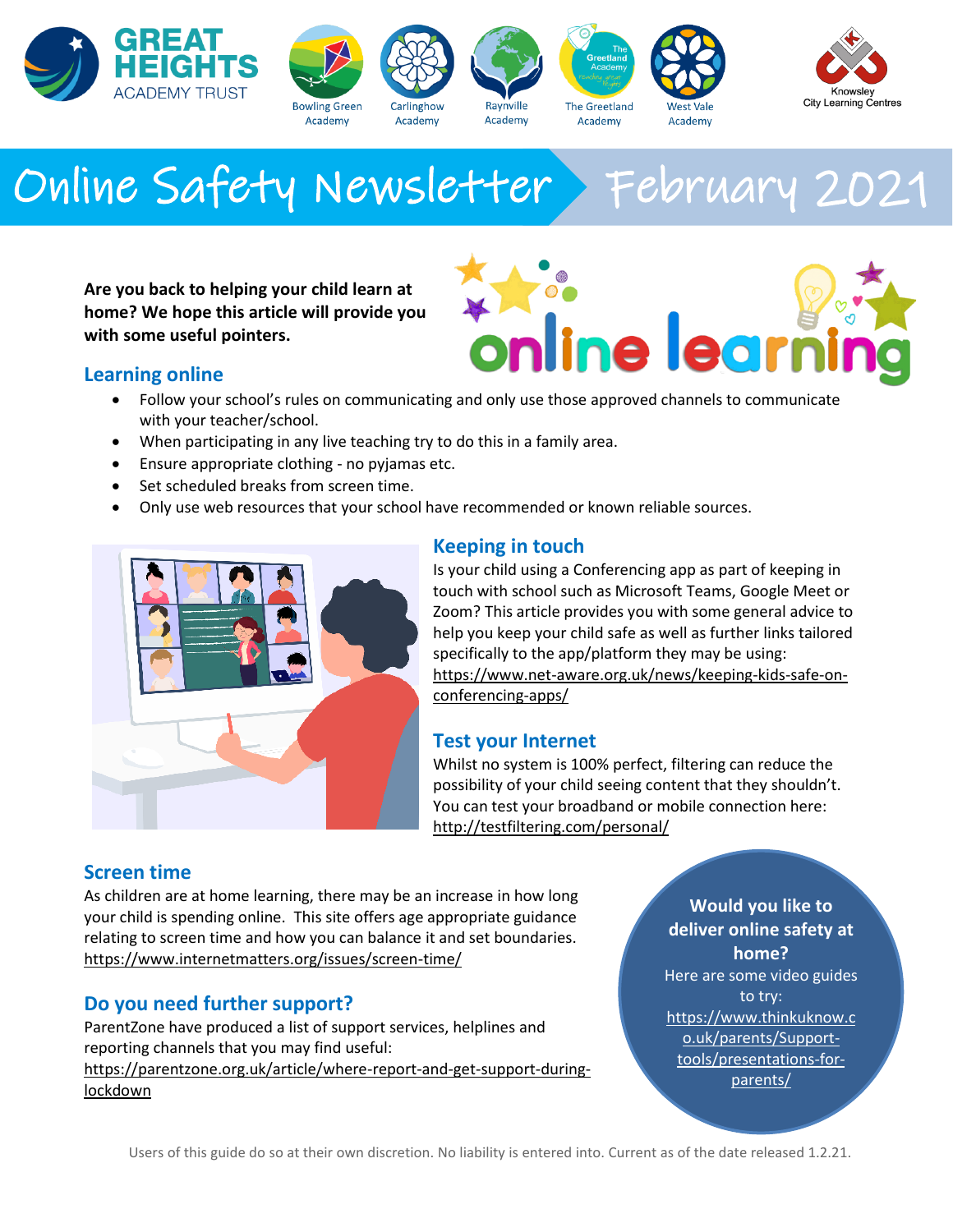









# Online Safety Newsletter February 2021

**Are you back to helping your child learn at home? We hope this article will provide you with some useful pointers.**



## **Learning online**

- Follow your school's rules on communicating and only use those approved channels to communicate with your teacher/school.
- When participating in any live teaching try to do this in a family area.
- Ensure appropriate clothing no pyjamas etc.
- Set scheduled breaks from screen time.
- Only use web resources that your school have recommended or known reliable sources.



# **Keeping in touch**

Is your child using a Conferencing app as part of keeping in touch with school such as Microsoft Teams, Google Meet or Zoom? This article provides you with some general advice to help you keep your child safe as well as further links tailored specifically to the app/platform they may be using: [https://www.net-aware.org.uk/news/keeping-kids-safe-on](https://www.net-aware.org.uk/news/keeping-kids-safe-on-conferencing-apps/)[conferencing-apps/](https://www.net-aware.org.uk/news/keeping-kids-safe-on-conferencing-apps/)

## **Test your Internet**

Whilst no system is 100% perfect, filtering can reduce the possibility of your child seeing content that they shouldn't. You can test your broadband or mobile connection here: <http://testfiltering.com/personal/>

## **Screen time**

As children are at home learning, there may be an increase in how long your child is spending online. This site offers age appropriate guidance relating to screen time and how you can balance it and set boundaries. <https://www.internetmatters.org/issues/screen-time/>

# **Do you need further support?**

ParentZone have produced a list of support services, helplines and reporting channels that you may find useful: [https://parentzone.org.uk/article/where-report-and-get-support-during](https://parentzone.org.uk/article/where-report-and-get-support-during-lockdown)[lockdown](https://parentzone.org.uk/article/where-report-and-get-support-during-lockdown)

**Would you like to deliver online safety at home?** Here are some video guides to try: [https://www.thinkuknow.c](https://www.thinkuknow.co.uk/parents/Support-tools/presentations-for-parents/) [o.uk/parents/Support](https://www.thinkuknow.co.uk/parents/Support-tools/presentations-for-parents/)[tools/presentations-for](https://www.thinkuknow.co.uk/parents/Support-tools/presentations-for-parents/)[parents/](https://www.thinkuknow.co.uk/parents/Support-tools/presentations-for-parents/)